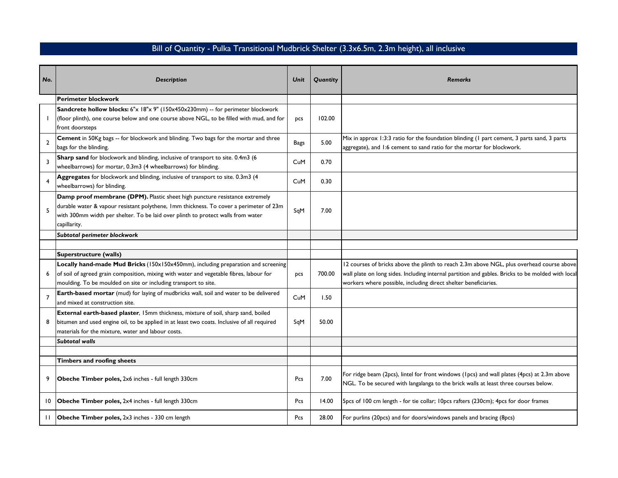## Bill of Quantity - Pulka Transitional Mudbrick Shelter (3.3x6.5m, 2.3m height), all inclusive

| No.            | <b>Description</b>                                                                                                                                                                                                                                                        | Unit | Quantity | <b>Remarks</b>                                                                                                                                                                                                                                                    |
|----------------|---------------------------------------------------------------------------------------------------------------------------------------------------------------------------------------------------------------------------------------------------------------------------|------|----------|-------------------------------------------------------------------------------------------------------------------------------------------------------------------------------------------------------------------------------------------------------------------|
|                |                                                                                                                                                                                                                                                                           |      |          |                                                                                                                                                                                                                                                                   |
|                | <b>Perimeter blockwork</b>                                                                                                                                                                                                                                                |      |          |                                                                                                                                                                                                                                                                   |
|                | Sandcrete hollow blocks: 6"x 18"x 9" (150x450x230mm) -- for perimeter blockwork<br>(floor plinth), one course below and one course above NGL, to be filled with mud, and for<br>front doorsteps                                                                           | pcs  | 102.00   |                                                                                                                                                                                                                                                                   |
| $\overline{2}$ | Cement in 50Kg bags -- for blockwork and blinding. Two bags for the mortar and three<br>bags for the blinding.                                                                                                                                                            | Bags | 5.00     | Mix in approx 1:3:3 ratio for the foundation blinding (1 part cement, 3 parts sand, 3 parts<br>aggregate), and 1:6 cement to sand ratio for the mortar for blockwork.                                                                                             |
| 3              | Sharp sand for blockwork and blinding, inclusive of transport to site. 0.4m3 (6<br>wheelbarrows) for mortar, 0.3m3 (4 wheelbarrows) for blinding.                                                                                                                         | CuM  | 0.70     |                                                                                                                                                                                                                                                                   |
| 4              | Aggregates for blockwork and blinding, inclusive of transport to site. 0.3m3 (4<br>wheelbarrows) for blinding.                                                                                                                                                            | CuM  | 0.30     |                                                                                                                                                                                                                                                                   |
| 5              | Damp proof membrane (DPM). Plastic sheet high puncture resistance extremely<br>durable water & vapour resistant polythene, Imm thickness. To cover a perimeter of 23m<br>with 300mm width per shelter. To be laid over plinth to protect walls from water<br>capillarity. | SqM  | 7.00     |                                                                                                                                                                                                                                                                   |
|                | Subtotal perimeter blockwork                                                                                                                                                                                                                                              |      |          |                                                                                                                                                                                                                                                                   |
|                |                                                                                                                                                                                                                                                                           |      |          |                                                                                                                                                                                                                                                                   |
|                | Superstructure (walls)                                                                                                                                                                                                                                                    |      |          |                                                                                                                                                                                                                                                                   |
| 6              | Locally hand-made Mud Bricks (150x150x450mm), including preparation and screening<br>of soil of agreed grain composition, mixing with water and vegetable fibres, labour for<br>moulding. To be moulded on site or including transport to site.                           | pcs  | 700.00   | 12 courses of bricks above the plinth to reach 2.3m above NGL, plus overhead course above<br>wall plate on long sides. Including internal partition and gables. Bricks to be molded with local<br>workers where possible, including direct shelter beneficiaries. |
| $\overline{7}$ | Earth-based mortar (mud) for laying of mudbricks wall, soil and water to be delivered<br>and mixed at construction site.                                                                                                                                                  | CuM  | 1.50     |                                                                                                                                                                                                                                                                   |
| 8              | External earth-based plaster, 15mm thickness, mixture of soil, sharp sand, boiled<br>bitumen and used engine oil, to be applied in at least two coats. Inclusive of all required<br>materials for the mixture, water and labour costs.                                    | SqM  | 50.00    |                                                                                                                                                                                                                                                                   |
|                | Subtotal walls                                                                                                                                                                                                                                                            |      |          |                                                                                                                                                                                                                                                                   |
|                |                                                                                                                                                                                                                                                                           |      |          |                                                                                                                                                                                                                                                                   |
|                | <b>Timbers and roofing sheets</b>                                                                                                                                                                                                                                         |      |          |                                                                                                                                                                                                                                                                   |
| 9              | Obeche Timber poles, 2x6 inches - full length 330cm                                                                                                                                                                                                                       | Pcs  | 7.00     | For ridge beam (2pcs), lintel for front windows (1pcs) and wall plates (4pcs) at 2.3m above<br>NGL. To be secured with langalanga to the brick walls at least three courses below.                                                                                |
| 10             | <b>Obeche Timber poles, 2x4 inches - full length 330cm</b>                                                                                                                                                                                                                | Pcs  | 14.00    | 5pcs of 100 cm length - for tie collar; 10pcs rafters (230cm); 4pcs for door frames                                                                                                                                                                               |
| $\mathbf{H}$   | Obeche Timber poles, 2x3 inches - 330 cm length                                                                                                                                                                                                                           | Pcs  | 28.00    | For purlins (20pcs) and for doors/windows panels and bracing (8pcs)                                                                                                                                                                                               |